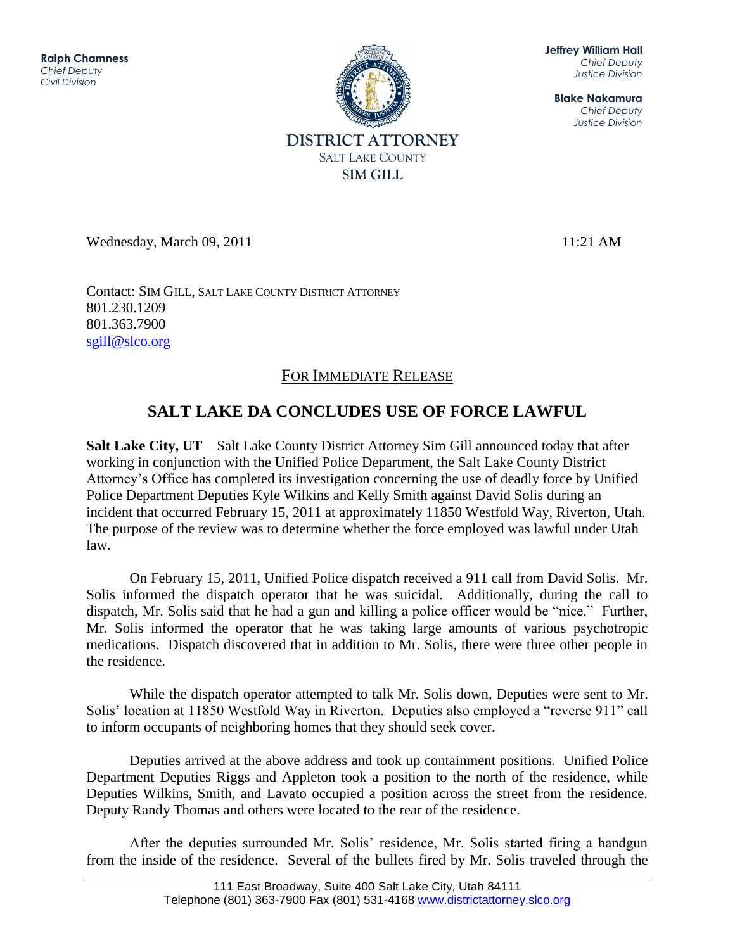11111000<br>hz Jeffrey W. Hall **Ralph Chamness**  *Chief Deputy Civil Division*



Wednesday, March 09, 2011 11:21 AM

**Jeffrey William Hall** *Chief Deputy Justice Division*

**Blake Nakamura** *Chief Deputy Justice Division*

Contact: SIM GILL, SALT LAKE COUNTY DISTRICT ATTORNEY 801.230.1209 801.363.7900 [sgill@slco.org](mailto:sgill@slco.org)

## FOR IMMEDIATE RELEASE

## **SALT LAKE DA CONCLUDES USE OF FORCE LAWFUL**

**Salt Lake City, UT**—Salt Lake County District Attorney Sim Gill announced today that after working in conjunction with the Unified Police Department, the Salt Lake County District Attorney's Office has completed its investigation concerning the use of deadly force by Unified Police Department Deputies Kyle Wilkins and Kelly Smith against David Solis during an incident that occurred February 15, 2011 at approximately 11850 Westfold Way, Riverton, Utah. The purpose of the review was to determine whether the force employed was lawful under Utah law.

On February 15, 2011, Unified Police dispatch received a 911 call from David Solis. Mr. Solis informed the dispatch operator that he was suicidal. Additionally, during the call to dispatch, Mr. Solis said that he had a gun and killing a police officer would be "nice." Further, Mr. Solis informed the operator that he was taking large amounts of various psychotropic medications. Dispatch discovered that in addition to Mr. Solis, there were three other people in the residence.

While the dispatch operator attempted to talk Mr. Solis down, Deputies were sent to Mr. Solis' location at 11850 Westfold Way in Riverton. Deputies also employed a "reverse 911" call to inform occupants of neighboring homes that they should seek cover.

Deputies arrived at the above address and took up containment positions. Unified Police Department Deputies Riggs and Appleton took a position to the north of the residence, while Deputies Wilkins, Smith, and Lavato occupied a position across the street from the residence. Deputy Randy Thomas and others were located to the rear of the residence.

After the deputies surrounded Mr. Solis' residence, Mr. Solis started firing a handgun from the inside of the residence. Several of the bullets fired by Mr. Solis traveled through the